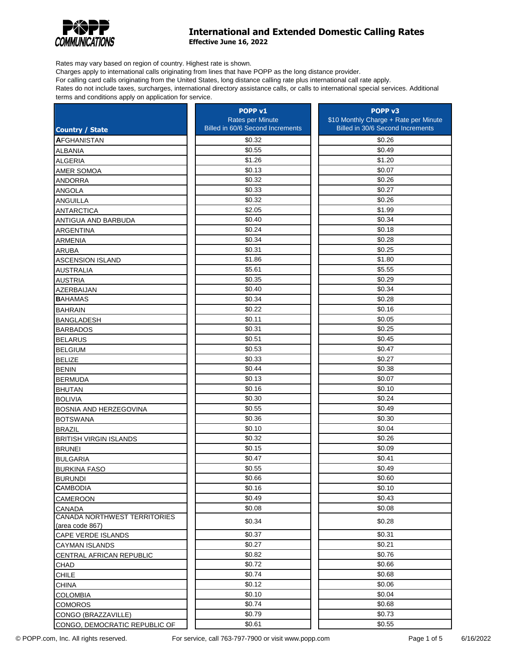

## **International and Extended Domestic Calling Rates**

**Effective June 16, 2022**

Rates may vary based on region of country. Highest rate is shown.

Charges apply to international calls originating from lines that have POPP as the long distance provider.

For calling card calls originating from the United States, long distance calling rate plus international call rate apply.

Rates do not include taxes, surcharges, international directory assistance calls, or calls to international special services. Additional terms and conditions apply on application for service.

|                               | POPP <sub>v1</sub>               | POPP <sub>v3</sub>                    |
|-------------------------------|----------------------------------|---------------------------------------|
|                               | Rates per Minute                 | \$10 Monthly Charge + Rate per Minute |
| <b>Country / State</b>        | Billed in 60/6 Second Increments | Billed in 30/6 Second Increments      |
| <b>AFGHANISTAN</b>            | \$0.32                           | \$0.26                                |
| <b>ALBANIA</b>                | \$0.55                           | \$0.49                                |
| <b>ALGERIA</b>                | \$1.26                           | \$1.20                                |
| AMER SOMOA                    | \$0.13                           | \$0.07                                |
| <b>ANDORRA</b>                | \$0.32                           | \$0.26                                |
| <b>ANGOLA</b>                 | \$0.33                           | \$0.27                                |
| <b>ANGUILLA</b>               | \$0.32                           | \$0.26                                |
| <b>ANTARCTICA</b>             | \$2.05                           | \$1.99                                |
| ANTIGUA AND BARBUDA           | \$0.40                           | \$0.34                                |
| <b>ARGENTINA</b>              | \$0.24                           | \$0.18                                |
| <b>ARMENIA</b>                | \$0.34                           | \$0.28                                |
| <b>ARUBA</b>                  | \$0.31                           | \$0.25                                |
| <b>ASCENSION ISLAND</b>       | \$1.86                           | \$1.80                                |
| <b>AUSTRALIA</b>              | \$5.61                           | \$5.55                                |
| <b>AUSTRIA</b>                | \$0.35                           | \$0.29                                |
| AZERBAIJAN                    | \$0.40                           | \$0.34                                |
| <b>BAHAMAS</b>                | \$0.34                           | \$0.28                                |
| <b>BAHRAIN</b>                | \$0.22                           | \$0.16                                |
| <b>BANGLADESH</b>             | \$0.11                           | \$0.05                                |
| <b>BARBADOS</b>               | \$0.31                           | \$0.25                                |
| <b>BELARUS</b>                | \$0.51                           | \$0.45                                |
| <b>BELGIUM</b>                | \$0.53                           | \$0.47                                |
| <b>BELIZE</b>                 | \$0.33                           | \$0.27                                |
| <b>BENIN</b>                  | \$0.44                           | \$0.38                                |
| <b>BERMUDA</b>                | \$0.13                           | \$0.07                                |
| <b>BHUTAN</b>                 | \$0.16                           | \$0.10                                |
| <b>BOLIVIA</b>                | \$0.30                           | \$0.24                                |
| BOSNIA AND HERZEGOVINA        | \$0.55                           | \$0.49                                |
| <b>BOTSWANA</b>               | \$0.36                           | \$0.30                                |
| <b>BRAZIL</b>                 | \$0.10                           | \$0.04                                |
| <b>BRITISH VIRGIN ISLANDS</b> | \$0.32                           | \$0.26                                |
| <b>BRUNEI</b>                 | \$0.15                           | \$0.09                                |
| <b>BULGARIA</b>               | \$0.47                           | \$0.41                                |
| <b>BURKINA FASO</b>           | \$0.55                           | \$0.49                                |
| <b>BURUNDI</b>                | \$0.66                           | \$0.60                                |
| <b>CAMBODIA</b>               | \$0.16                           | \$0.10                                |
| <b>CAMEROON</b>               | \$0.49                           | \$0.43                                |
| <b>CANADA</b>                 | \$0.08                           | \$0.08                                |
| CANADA NORTHWEST TERRITORIES  |                                  |                                       |
| (area code 867)               | \$0.34                           | \$0.28                                |
| CAPE VERDE ISLANDS            | \$0.37                           | \$0.31                                |
| <b>CAYMAN ISLANDS</b>         | \$0.27                           | \$0.21                                |
| CENTRAL AFRICAN REPUBLIC      | \$0.82                           | \$0.76                                |
| CHAD                          | \$0.72                           | \$0.66                                |
| <b>CHILE</b>                  | \$0.74                           | \$0.68                                |
| <b>CHINA</b>                  | \$0.12                           | \$0.06                                |
| <b>COLOMBIA</b>               | \$0.10                           | \$0.04                                |
| <b>COMOROS</b>                | \$0.74                           | \$0.68                                |
| CONGO (BRAZZAVILLE)           | \$0.79                           | \$0.73                                |
| CONGO, DEMOCRATIC REPUBLIC OF | \$0.61                           | \$0.55                                |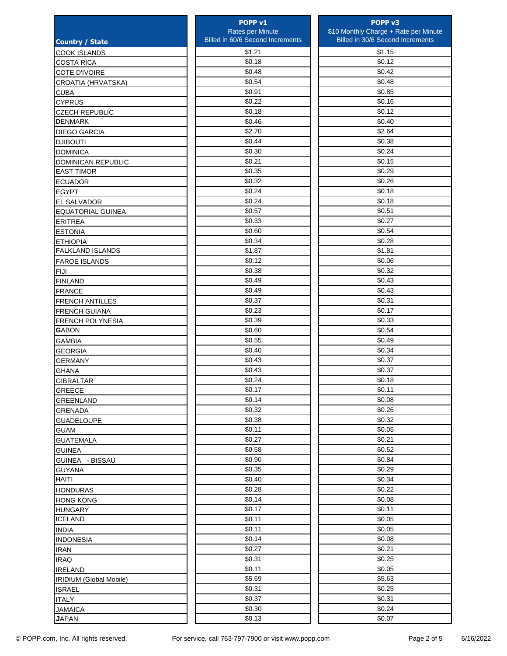|                           | POPP <sub>v1</sub>               | POPP <sub>v3</sub>                    |
|---------------------------|----------------------------------|---------------------------------------|
|                           | Rates per Minute                 | \$10 Monthly Charge + Rate per Minute |
| <b>Country / State</b>    | Billed in 60/6 Second Increments | Billed in 30/6 Second Increments      |
| <b>COOK ISLANDS</b>       | \$1.21                           | \$1.15                                |
| <b>COSTA RICA</b>         | \$0.18                           | \$0.12                                |
| <b>COTE D'IVOIRE</b>      | \$0.48                           | \$0.42                                |
| CROATIA (HRVATSKA)        | \$0.54                           | \$0.48                                |
| <b>CUBA</b>               | \$0.91                           | \$0.85                                |
| <b>CYPRUS</b>             | \$0.22                           | \$0.16                                |
| <b>CZECH REPUBLIC</b>     | \$0.18                           | \$0.12                                |
| <b>DENMARK</b>            | \$0.46                           | \$0.40                                |
| <b>DIEGO GARCIA</b>       | \$2.70                           | \$2.64                                |
| <b>DJIBOUTI</b>           | \$0.44                           | \$0.38                                |
| <b>DOMINICA</b>           | \$0.30                           | \$0.24                                |
| <b>DOMINICAN REPUBLIC</b> | \$0.21                           | \$0.15                                |
| <b>EAST TIMOR</b>         | \$0.35                           | \$0.29                                |
| <b>ECUADOR</b>            | \$0.32                           | \$0.26                                |
| <b>EGYPT</b>              | \$0.24                           | \$0.18                                |
| <b>EL SALVADOR</b>        | \$0.24                           | \$0.18                                |
| <b>EQUATORIAL GUINEA</b>  | \$0.57                           | \$0.51                                |
| <b>ERITREA</b>            | \$0.33                           | \$0.27                                |
| <b>ESTONIA</b>            | \$0.60                           | \$0.54                                |
| <b>ETHIOPIA</b>           | \$0.34                           | \$0.28                                |
| <b>FALKLAND ISLANDS</b>   | \$1.87                           | \$1.81                                |
| <b>FAROE ISLANDS</b>      | \$0.12                           | \$0.06                                |
| <b>FIJI</b>               | \$0.38                           | \$0.32                                |
| <b>FINLAND</b>            | \$0.49                           | \$0.43                                |
| <b>FRANCE</b>             | \$0.49                           | \$0.43                                |
| <b>FRENCH ANTILLES</b>    | \$0.37                           | \$0.31                                |
| <b>FRENCH GUIANA</b>      | \$0.23                           | \$0.17                                |
| <b>FRENCH POLYNESIA</b>   | \$0.39                           | \$0.33                                |
| <b>GABON</b>              | \$0.60                           | \$0.54                                |
| <b>GAMBIA</b>             | \$0.55                           | \$0.49                                |
| <b>GEORGIA</b>            | \$0.40                           | \$0.34                                |
| <b>GERMANY</b>            | \$0.43                           | \$0.37                                |
| <b>GHANA</b>              | \$0.43                           | \$0.37                                |
| <b>GIBRALTAR</b>          | \$0.24                           | \$0.18                                |
| GREECE                    | \$0.17                           | \$0.11                                |
| GREENLAND                 | \$0.14                           | \$0.08                                |
| <b>GRENADA</b>            | \$0.32                           | \$0.26                                |
| <b>GUADELOUPE</b>         | \$0.38                           | \$0.32                                |
| <b>GUAM</b>               | \$0.11                           | \$0.05                                |
| <b>GUATEMALA</b>          | \$0.27                           | \$0.21                                |
| <b>GUINEA</b>             | \$0.58                           | \$0.52                                |
| GUINEA - BISSAU           | \$0.90                           | \$0.84                                |
| <b>GUYANA</b>             | \$0.35                           | \$0.29                                |
| <b>HAITI</b>              | \$0.40                           | \$0.34                                |
| <b>HONDURAS</b>           | \$0.28                           | \$0.22                                |
| <b>HONG KONG</b>          | \$0.14                           | \$0.08                                |
| <b>HUNGARY</b>            | \$0.17                           | \$0.11                                |
| <b>ICELAND</b>            | \$0.11                           | \$0.05                                |
| <b>INDIA</b>              | \$0.11                           | \$0.05                                |
| <b>INDONESIA</b>          | \$0.14                           | \$0.08                                |
| <b>IRAN</b>               | \$0.27                           | \$0.21                                |
| <b>IRAQ</b>               | \$0.31                           | \$0.25                                |
| <b>IRELAND</b>            | \$0.11                           | \$0.05                                |
| IRIDIUM (Global Mobile)   | \$5.69                           | \$5.63                                |
| <b>ISRAEL</b>             | \$0.31                           | \$0.25                                |
| <b>ITALY</b>              | \$0.37                           | \$0.31                                |
| <b>JAMAICA</b>            | \$0.30                           | \$0.24                                |
| <b>JAPAN</b>              | \$0.13                           | \$0.07                                |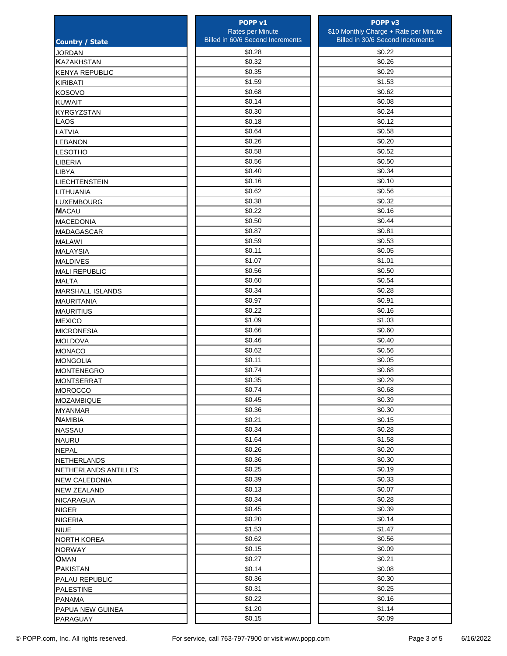|                                       | POPP <sub>v1</sub>               | POPP <sub>v3</sub>                    |
|---------------------------------------|----------------------------------|---------------------------------------|
|                                       | Rates per Minute                 | \$10 Monthly Charge + Rate per Minute |
| <b>Country / State</b>                | Billed in 60/6 Second Increments | Billed in 30/6 Second Increments      |
| <b>JORDAN</b>                         | \$0.28                           | \$0.22                                |
| <b>KAZAKHSTAN</b>                     | \$0.32                           | \$0.26                                |
| <b>KENYA REPUBLIC</b>                 | \$0.35                           | \$0.29                                |
| <b>KIRIBATI</b>                       | \$1.59                           | \$1.53                                |
| KOSOVO                                | \$0.68                           | \$0.62                                |
| <b>KUWAIT</b>                         | \$0.14                           | \$0.08                                |
| KYRGYZSTAN                            | \$0.30                           | \$0.24                                |
| <b>LAOS</b>                           | \$0.18                           | \$0.12                                |
| LATVIA                                | \$0.64                           | \$0.58                                |
| <b>LEBANON</b>                        | \$0.26                           | \$0.20                                |
| <b>LESOTHO</b>                        | \$0.58                           | \$0.52                                |
| <b>LIBERIA</b>                        | \$0.56                           | \$0.50                                |
| <b>LIBYA</b>                          | \$0.40                           | \$0.34                                |
| <b>LIECHTENSTEIN</b>                  | \$0.16                           | \$0.10                                |
| LITHUANIA                             | \$0.62                           | \$0.56                                |
| <b>LUXEMBOURG</b>                     | \$0.38                           | \$0.32                                |
| <b>MACAU</b>                          | \$0.22                           | \$0.16                                |
| <b>MACEDONIA</b>                      | \$0.50                           | \$0.44                                |
| <b>MADAGASCAR</b>                     | \$0.87                           | \$0.81                                |
| <b>MALAWI</b>                         | \$0.59                           | \$0.53                                |
| <b>MALAYSIA</b>                       | \$0.11                           | \$0.05                                |
| <b>MALDIVES</b>                       | \$1.07                           | \$1.01                                |
| <b>MALI REPUBLIC</b>                  | \$0.56                           | \$0.50                                |
| <b>MALTA</b>                          | \$0.60                           | \$0.54                                |
| <b>MARSHALL ISLANDS</b>               | \$0.34                           | \$0.28                                |
|                                       | \$0.97                           | \$0.91                                |
| <b>MAURITANIA</b><br><b>MAURITIUS</b> | \$0.22                           | \$0.16                                |
|                                       | \$1.09                           | \$1.03                                |
| <b>MEXICO</b>                         | \$0.66                           | \$0.60                                |
| <b>MICRONESIA</b>                     | \$0.46                           | \$0.40                                |
| <b>MOLDOVA</b>                        | \$0.62                           | \$0.56                                |
| <b>MONACO</b>                         | \$0.11                           | \$0.05                                |
| <b>MONGOLIA</b>                       | \$0.74                           | \$0.68                                |
| <b>MONTENEGRO</b>                     | \$0.35                           | \$0.29                                |
| <b>MONTSERRAT</b>                     | \$0.74                           | \$0.68                                |
| <b>IMOROCCO</b>                       | \$0.45                           | \$0.39                                |
| MOZAMBIQUE                            | \$0.36                           | \$0.30                                |
| <b>MYANMAR</b>                        |                                  |                                       |
| <b>NAMIBIA</b>                        | \$0.21                           | \$0.15                                |
| NASSAU                                | \$0.34                           | \$0.28                                |
| <b>NAURU</b>                          | \$1.64                           | \$1.58                                |
| <b>NEPAL</b>                          | \$0.26                           | \$0.20                                |
| NETHERLANDS                           | \$0.36                           | \$0.30                                |
| NETHERLANDS ANTILLES                  | \$0.25                           | \$0.19                                |
| <b>NEW CALEDONIA</b>                  | \$0.39                           | \$0.33                                |
| <b>NEW ZEALAND</b>                    | \$0.13                           | \$0.07                                |
| <b>NICARAGUA</b>                      | \$0.34                           | \$0.28                                |
| <b>NIGER</b>                          | \$0.45                           | \$0.39                                |
| <b>NIGERIA</b>                        | \$0.20                           | \$0.14                                |
| <b>NIUE</b>                           | \$1.53                           | \$1.47                                |
| <b>NORTH KOREA</b>                    | \$0.62                           | \$0.56                                |
| <b>NORWAY</b>                         | \$0.15                           | \$0.09                                |
| <b>OMAN</b>                           | \$0.27                           | \$0.21                                |
| <b>PAKISTAN</b>                       | \$0.14                           | \$0.08                                |
| PALAU REPUBLIC                        | \$0.36                           | \$0.30                                |
| PALESTINE                             | \$0.31                           | \$0.25                                |
| <b>PANAMA</b>                         | \$0.22                           | \$0.16                                |
| PAPUA NEW GUINEA                      | \$1.20                           | \$1.14                                |
| PARAGUAY                              | \$0.15                           | \$0.09                                |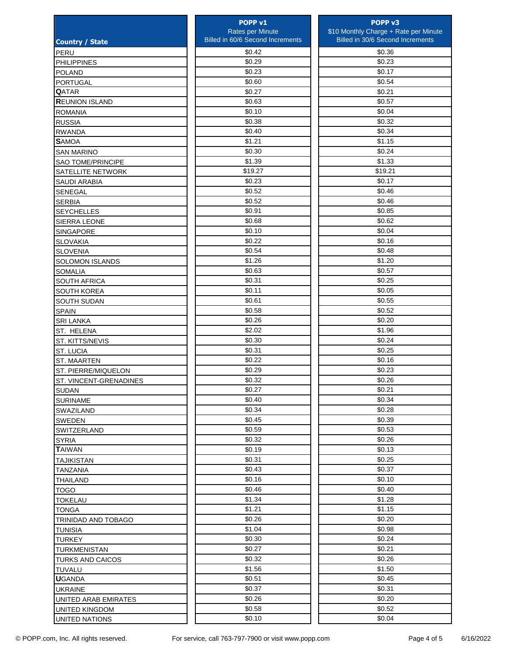|                          | POPP <sub>v1</sub>                      | POPP <sub>v3</sub>                      |
|--------------------------|-----------------------------------------|-----------------------------------------|
|                          | Rates per Minute                        | \$10 Monthly Charge + Rate per Minute   |
| <b>Country / State</b>   | <b>Billed in 60/6 Second Increments</b> | <b>Billed in 30/6 Second Increments</b> |
| PERU                     | \$0.42                                  | \$0.36                                  |
| <b>PHILIPPINES</b>       | \$0.29                                  | \$0.23                                  |
| <b>POLAND</b>            | \$0.23                                  | \$0.17                                  |
| <b>PORTUGAL</b>          | \$0.60                                  | \$0.54                                  |
| <b>QATAR</b>             | \$0.27                                  | \$0.21                                  |
| <b>REUNION ISLAND</b>    | \$0.63                                  | \$0.57                                  |
| <b>ROMANIA</b>           | \$0.10                                  | \$0.04                                  |
| <b>RUSSIA</b>            | \$0.38                                  | \$0.32                                  |
| <b>RWANDA</b>            | \$0.40                                  | \$0.34                                  |
| <b>SAMOA</b>             | \$1.21                                  | \$1.15                                  |
| <b>SAN MARINO</b>        | \$0.30                                  | \$0.24                                  |
| <b>SAO TOME/PRINCIPE</b> | \$1.39                                  | \$1.33                                  |
| SATELLITE NETWORK        | \$19.27                                 | \$19.21                                 |
| SAUDI ARABIA             | \$0.23                                  | \$0.17                                  |
| <b>SENEGAL</b>           | \$0.52                                  | \$0.46                                  |
| <b>SERBIA</b>            | \$0.52                                  | \$0.46                                  |
| <b>SEYCHELLES</b>        | \$0.91                                  | \$0.85                                  |
|                          | \$0.68                                  | \$0.62                                  |
| <b>SIERRA LEONE</b>      | \$0.10                                  | \$0.04                                  |
| SINGAPORE                | \$0.22                                  | \$0.16                                  |
| <b>SLOVAKIA</b>          |                                         |                                         |
| <b>SLOVENIA</b>          | \$0.54                                  | \$0.48                                  |
| <b>SOLOMON ISLANDS</b>   | \$1.26                                  | \$1.20                                  |
| <b>SOMALIA</b>           | \$0.63                                  | \$0.57                                  |
| SOUTH AFRICA             | \$0.31                                  | \$0.25                                  |
| SOUTH KOREA              | \$0.11                                  | \$0.05                                  |
| SOUTH SUDAN              | \$0.61                                  | \$0.55                                  |
| <b>SPAIN</b>             | \$0.58                                  | \$0.52                                  |
| <b>SRI LANKA</b>         | \$0.26                                  | \$0.20                                  |
| ST. HELENA               | \$2.02                                  | \$1.96                                  |
| ST. KITTS/NEVIS          | \$0.30                                  | \$0.24                                  |
| <b>ST. LUCIA</b>         | \$0.31                                  | \$0.25                                  |
| <b>ST. MAARTEN</b>       | \$0.22                                  | \$0.16                                  |
| ST. PIERRE/MIQUELON      | \$0.29                                  | \$0.23                                  |
| ST. VINCENT-GRENADINES   | \$0.32                                  | \$0.26                                  |
| <b>SUDAN</b>             | \$0.27                                  | \$0.21                                  |
| <b>SURINAME</b>          | \$0.40                                  | \$0.34                                  |
| SWAZILAND                | \$0.34                                  | \$0.28                                  |
| <b>SWEDEN</b>            | \$0.45                                  | \$0.39                                  |
| <b>SWITZERLAND</b>       | \$0.59                                  | \$0.53                                  |
| <b>SYRIA</b>             | \$0.32                                  | \$0.26                                  |
| <b>TAIWAN</b>            | \$0.19                                  | \$0.13                                  |
| <b>TAJIKISTAN</b>        | \$0.31                                  | \$0.25                                  |
| <b>TANZANIA</b>          | \$0.43                                  | \$0.37                                  |
| <b>THAILAND</b>          | \$0.16                                  | \$0.10                                  |
| <b>TOGO</b>              | \$0.46                                  | \$0.40                                  |
| <b>TOKELAU</b>           | \$1.34                                  | \$1.28                                  |
| <b>TONGA</b>             | \$1.21                                  | \$1.15                                  |
| TRINIDAD AND TOBAGO      | \$0.26                                  | \$0.20                                  |
| <b>TUNISIA</b>           | \$1.04                                  | \$0.98                                  |
| <b>TURKEY</b>            | \$0.30                                  | \$0.24                                  |
| <b>TURKMENISTAN</b>      | \$0.27                                  | \$0.21                                  |
| <b>TURKS AND CAICOS</b>  | \$0.32                                  | \$0.26                                  |
| <b>TUVALU</b>            | \$1.56                                  | \$1.50                                  |
| <b>U</b> GANDA           | \$0.51                                  | \$0.45                                  |
| <b>UKRAINE</b>           | \$0.37                                  | \$0.31                                  |
| UNITED ARAB EMIRATES     | \$0.26                                  | \$0.20                                  |
| UNITED KINGDOM           | \$0.58                                  | \$0.52                                  |
| UNITED NATIONS           | \$0.10                                  | \$0.04                                  |